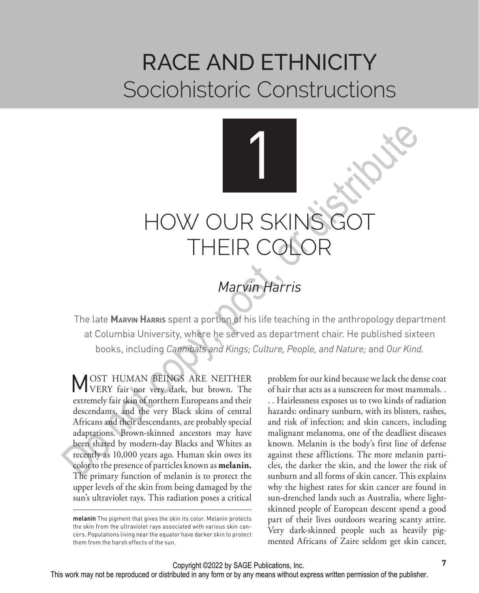## RACE AND ETHNICITY Sociohistoric Constructions

1

## **HOW OUR SKIN** THEIR

## *Marvin Harris*

The late **Marvin Harris** spent a portion of his life teaching in the anthropology department at Columbia University, where he served as department chair. He published sixteen books, including *Cannibals and Kings; Culture, People, and Nature;* and *Our Kind.*

MOST HUMAN BEINGS ARE NEITHER<br>VERY fair nor very dark, but brown. The extremely fair skin of northern Europeans and their descendants, and the very Black skins of central Africans and their descendants, are probably special adaptations. Brown-skinned ancestors may have been shared by modern-day Blacks and Whites as recently as 10,000 years ago. Human skin owes its color to the presence of particles known as **melanin.** The primary function of melanin is to protect the upper levels of the skin from being damaged by the sun's ultraviolet rays. This radiation poses a critical HOW OUR SKINS GOT<br>
THEIR COLOR<br>
THEIR COLOR<br>
Marvin Harris<br>
The late Marwin Harans spent a portion of his life teaching in the anthropology deparate<br>
at Columbia University, where he served as department chair. He publishe

problem for our kind because we lack the dense coat of hair that acts as a sunscreen for most mammals. . . . Hairlessness exposes us to two kinds of radiation hazards: ordinary sunburn, with its blisters, rashes, and risk of infection; and skin cancers, including malignant melanoma, one of the deadliest diseases known. Melanin is the body's first line of defense against these afflictions. The more melanin particles, the darker the skin, and the lower the risk of sunburn and all forms of skin cancer. This explains why the highest rates for skin cancer are found in sun-drenched lands such as Australia, where lightskinned people of European descent spend a good part of their lives outdoors wearing scanty attire. Very dark-skinned people such as heavily pigmented Africans of Zaire seldom get skin cancer,

Copyright ©2022 by SAGE Publications, Inc.

This work may not be reproduced or distributed in any form or by any means without express written permission of the publisher.

**melanin** The pigment that gives the skin its color. Melanin protects the skin from the ultraviolet rays associated with various skin cancers. Populations living near the equator have darker skin to protect them from the harsh effects of the sun.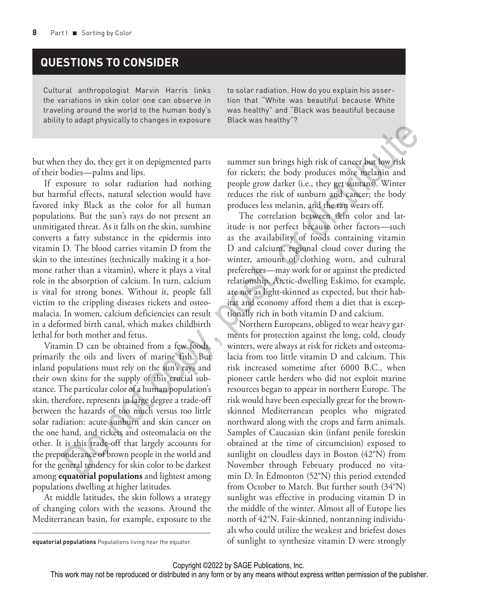## **QUESTIONS TO CONSIDER**

Cultural anthropologist Marvin Harris links the variations in skin color one can observe in traveling around the world to the human body's ability to adapt physically to changes in exposure to solar radiation. How do you explain his assertion that "White was beautiful because White was healthy" and "Black was beautiful because Black was healthy"?

but when they do, they get it on depigmented parts of their bodies—palms and lips.

If exposure to solar radiation had nothing but harmful effects, natural selection would have favored inky Black as the color for all human populations. But the sun's rays do not present an unmitigated threat. As it falls on the skin, sunshine converts a fatty substance in the epidermis into vitamin D. The blood carries vitamin D from the skin to the intestines (technically making it a hormone rather than a vitamin), where it plays a vital role in the absorption of calcium. In turn, calcium is vital for strong bones. Without it, people fall victim to the crippling diseases rickets and osteomalacia. In women, calcium deficiencies can result in a deformed birth canal, which makes childbirth lethal for both mother and fetus.

Vitamin D can be obtained from a few foods, primarily the oils and livers of marine fish. But inland populations must rely on the sun's rays and their own skins for the supply of this crucial substance. The particular color of a human population's skin, therefore, represents in large degree a trade-off between the hazards of too much versus too little solar radiation: acute sunburn and skin cancer on the one hand, and rickets and osteomalacia on the other. It is this trade-off that largely accounts for the preponderance of brown people in the world and for the general tendency for skin color to be darkest among **equatorial populations** and lightest among populations dwelling at higher latitudes.

At middle latitudes, the skin follows a strategy of changing colors with the seasons. Around the Mediterranean basin, for example, exposure to the summer sun brings high risk of cancer but low risk for rickets; the body produces more melanin and people grow darker (i.e., they get suntans). Winter reduces the risk of sunburn and cancer; the body produces less melanin, and the tan wears off.

The correlation between skin color and latitude is not perfect because other factors—such as the availability of foods containing vitamin D and calcium, regional cloud cover during the winter, amount of clothing worn, and cultural preferences—may work for or against the predicted relationship. Arctic-dwelling Eskimo, for example, are not as light-skinned as expected, but their habitat and economy afford them a diet that is exceptionally rich in both vitamin D and calcium.

Northern Europeans, obliged to wear heavy garments for protection against the long, cold, cloudy winters, were always at risk for rickets and osteomalacia from too little vitamin D and calcium. This risk increased sometime after 6000 B.C., when pioneer cattle herders who did not exploit marine resources began to appear in northern Europe. The risk would have been especially great for the brownskinned Mediterranean peoples who migrated northward along with the crops and farm animals. Samples of Caucasian skin (infant penile foreskin obtained at the time of circumcision) exposed to sunlight on cloudless days in Boston (42°N) from November through February produced no vitamin D. In Edmonton (52°N) this period extended from October to March. But further south (34°N) sunlight was effective in producing vitamin D in the middle of the winter. Almost all of Europe lies north of 42°N. Fair-skinned, nontanning individuals who could utilize the weakest and briefest doses of sunlight to synthesize vitamin D were strongly In they do, they get it on depigmented parts<br>
summer sun brings high risk of cancer but how risk<br>
bodics—palms and lips.<br>
for rickces the body produces more melanin and<br>
from the color radiation had nothing<br>
people grow dr

Copyright ©2022 by SAGE Publications, Inc.

**equatorial populations** Populations living near the equator.

This work may not be reproduced or distributed in any form or by any means without express written permission of the publisher.